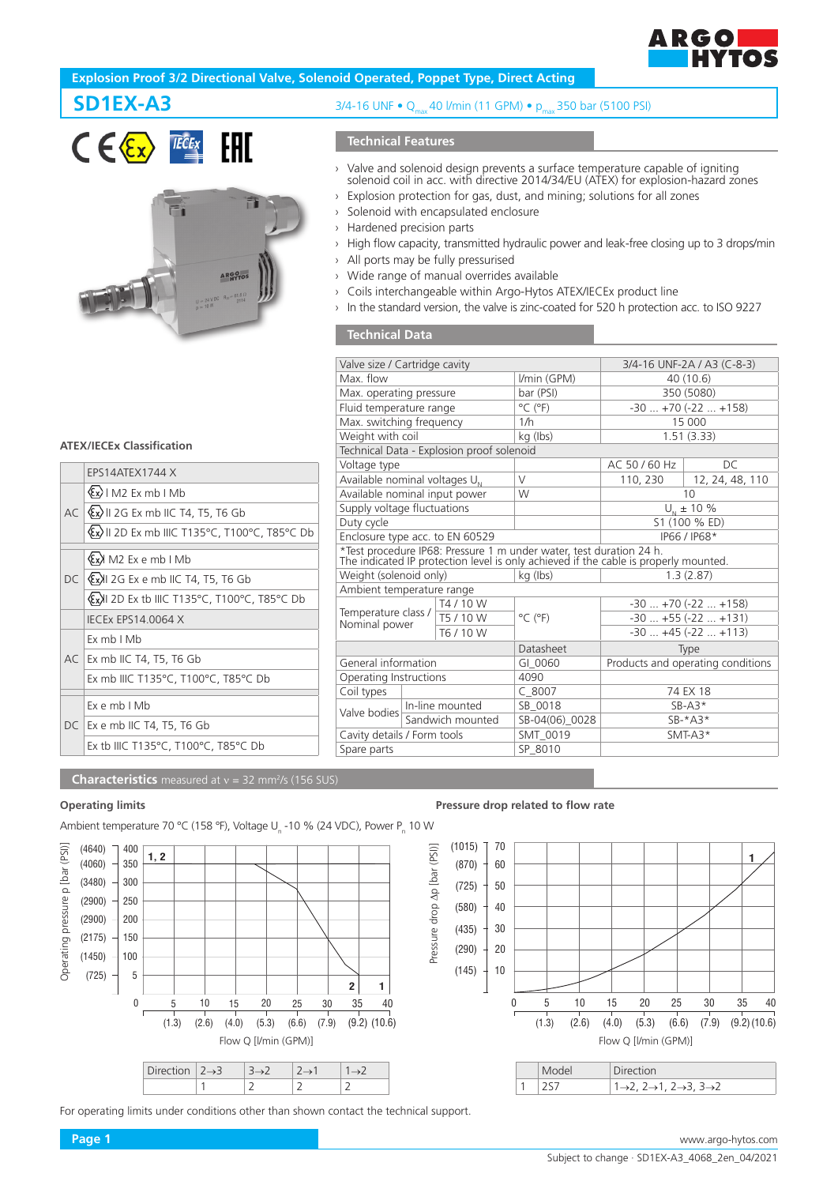

# **Explosion Proof 3/2 Directional Valve, Solenoid Operated, Poppet Type, Direct Acting**





# **SD1EX-A3** 3/4-16 UNF • Q<sub>max</sub> 40 l/min (11 GPM) • p<sub>max</sub> 350 bar (5100 PSI)

## **Technical Features**

- › Valve and solenoid design prevents a surface temperature capable of igniting solenoid coil in acc. with directive 2014/34/EU (ATEX) for explosion-hazard zones
- › Explosion protection for gas, dust, and mining; solutions for all zones
- › Solenoid with encapsulated enclosure
- › Hardened precision parts
- › High flow capacity, transmitted hydraulic power and leak-free closing up to 3 drops/min
- › All ports may be fully pressurised
- › Wide range of manual overrides available
- › Coils interchangeable within Argo-Hytos ATEX/IECEx product line
- › In the standard version, the valve is zinc-coated for 520 h protection acc. to ISO 9227

## **Technical Data**

| Valve size / Cartridge cavity                                                        |                  |                                           | 3/4-16 UNF-2A / A3 (C-8-3)                                          |                   |                   |
|--------------------------------------------------------------------------------------|------------------|-------------------------------------------|---------------------------------------------------------------------|-------------------|-------------------|
| Max flow                                                                             |                  |                                           | I/min (GPM)                                                         | 40 (10.6)         |                   |
| Max. operating pressure                                                              |                  |                                           | bar (PSI)                                                           | 350 (5080)        |                   |
| Fluid temperature range                                                              |                  |                                           | $^{\circ}$ C ( $^{\circ}$ F)                                        | $-30+70(-22+158)$ |                   |
| Max. switching frequency                                                             |                  |                                           | 1/h                                                                 | 15 000            |                   |
| Weight with coil                                                                     |                  |                                           | kg (lbs)                                                            | 1.51(3.33)        |                   |
|                                                                                      |                  | Technical Data - Explosion proof solenoid |                                                                     |                   |                   |
| Voltage type                                                                         |                  |                                           |                                                                     | AC 50 / 60 Hz     | DC.               |
| Available nominal voltages $U_{N}$                                                   |                  |                                           | $\vee$                                                              | 110, 230          | 12, 24, 48, 110   |
| Available nominal input power                                                        |                  |                                           | W                                                                   | 10                |                   |
| Supply voltage fluctuations                                                          |                  |                                           |                                                                     | $U_{N}$ ± 10 %    |                   |
| Duty cycle                                                                           |                  |                                           |                                                                     | S1 (100 % ED)     |                   |
| Enclosure type acc. to EN 60529                                                      |                  |                                           |                                                                     | IP66 / IP68*      |                   |
|                                                                                      |                  |                                           | *Test procedure IP68: Pressure 1 m under water, test duration 24 h. |                   |                   |
| The indicated IP protection level is only achieved if the cable is properly mounted. |                  |                                           |                                                                     |                   |                   |
| Weight (solenoid only)                                                               |                  |                                           | kg (lbs)                                                            |                   | 1.3(2.87)         |
| Ambient temperature range                                                            |                  |                                           |                                                                     |                   |                   |
| Temperature class /                                                                  |                  | T4 / 10 W                                 |                                                                     | $-30+70(-22+158)$ |                   |
| Nominal power                                                                        |                  | T5 / 10 W                                 | $^{\circ}$ C ( $^{\circ}$ F)                                        | $-30+55(-22+131)$ |                   |
|                                                                                      |                  | T6 / 10 W                                 |                                                                     |                   | $-30+45(-22+113)$ |
|                                                                                      |                  | Datasheet                                 | Type                                                                |                   |                   |
| General information                                                                  |                  | GI 0060                                   | Products and operating conditions                                   |                   |                   |
| Operating Instructions                                                               |                  | 4090                                      |                                                                     |                   |                   |
| Coil types                                                                           |                  |                                           | $C$ 8007                                                            |                   | 74 EX 18          |
| Valve bodies                                                                         | In-line mounted  |                                           | SB 0018                                                             | $SB-AS*$          |                   |
|                                                                                      | Sandwich mounted |                                           | SB-04(06) 0028                                                      | $SB-*A3*$         |                   |
| Cavity details / Form tools                                                          |                  | SMT 0019                                  | $SMT-43*$                                                           |                   |                   |
| Spare parts                                                                          |                  |                                           | SP 8010                                                             |                   |                   |
|                                                                                      |                  |                                           |                                                                     |                   |                   |

# **ATEX/IECEx Classification**

|  | FPS14ATFX1744 X                                       |
|--|-------------------------------------------------------|
|  | $\langle \xi x \rangle$   M2 Ex mb   Mb               |
|  | AC $\langle x \rangle$ II 2G Ex mb IIC T4, T5, T6 Gb  |
|  | Ex II 2D Ex mb IIIC T135°C, T100°C, T85°C Db          |
|  | (Ex) M2 Ex e mb I Mb                                  |
|  | $DC$ $\langle x \rangle$ 2G Ex e mb IIC T4, T5, T6 Gb |
|  | ExXII 2D Ex tb IIIC T135°C, T100°C, T85°C Db          |
|  | <b>IECEX EPS14.0064 X</b>                             |
|  | Fx mb I Mb                                            |
|  | AC Ex mb IIC T4, T5, T6 Gb                            |
|  | Ex mb IIIC T135°C, T100°C, T85°C Db                   |
|  | Ex e mb I Mb                                          |
|  | DC   Ex e mb IIC T4, T5, T6 Gb                        |
|  |                                                       |
|  | Ex tb IIIC T135°C, T100°C, T85°C Db                   |

#### **Characteristics** measured at v = 32 mm<sup>2</sup>/s (156 SUS)

Ambient temperature 70 °C (158 °F), Voltage U<sub>n</sub> -10 % (24 VDC), Power P<sub>n</sub> 10 W



| Direction $ 2 \rightarrow 3$ |  |  |
|------------------------------|--|--|
|                              |  |  |

For operating limits under conditions other than shown contact the technical support.

#### **Operating limits Pressure drop related to flow rate**



|  | <b>Direction</b>                                                          |  |
|--|---------------------------------------------------------------------------|--|
|  | $1\rightarrow 2$ , $2\rightarrow 1$ , $2\rightarrow 3$ , $3\rightarrow 2$ |  |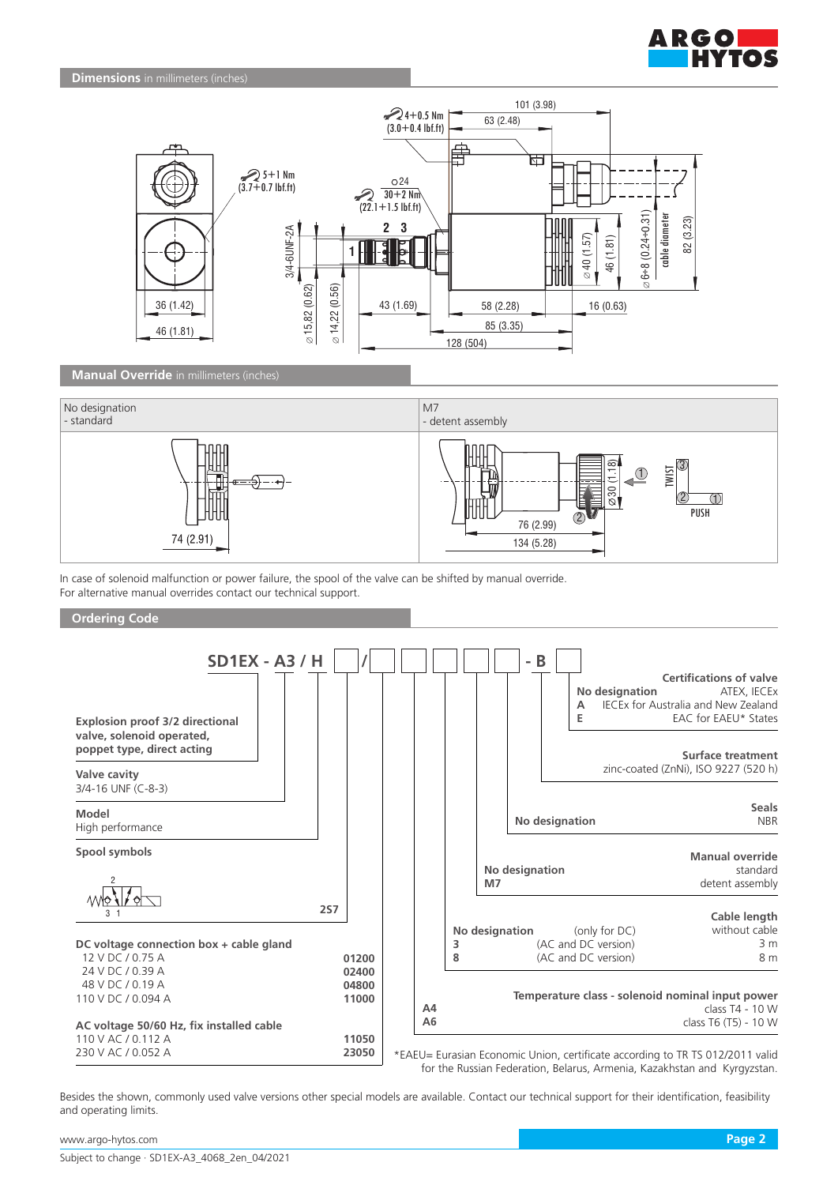



## **Manual Override** in millimeters (inches)



In case of solenoid malfunction or power failure, the spool of the valve can be shifted by manual override. For alternative manual overrides contact our technical support.



Besides the shown, commonly used valve versions other special models are available. Contact our technical support for their identification, feasibility and operating limits.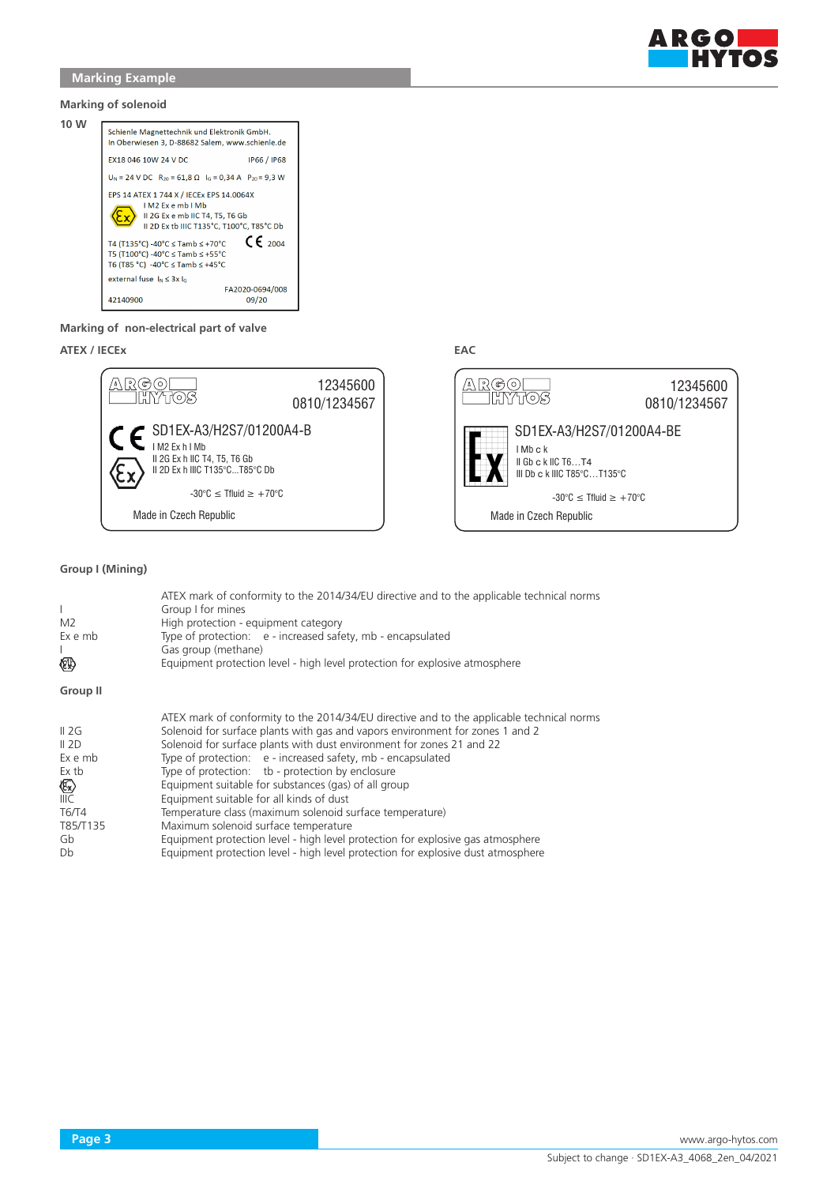

**Marking of solenoid**



## **Marking of non-electrical part of valve**

**ATEX / IECEx EAC**





## **Group I (Mining)**

| $\mathbf{L}$<br>M2<br>Ex e mb<br>(€10)  | ATEX mark of conformity to the 2014/34/EU directive and to the applicable technical norms<br>Group I for mines<br>High protection - equipment category<br>Type of protection: e - increased safety, mb - encapsulated<br>Gas group (methane)<br>Equipment protection level - high level protection for explosive atmosphere                                                                                                    |
|-----------------------------------------|--------------------------------------------------------------------------------------------------------------------------------------------------------------------------------------------------------------------------------------------------------------------------------------------------------------------------------------------------------------------------------------------------------------------------------|
| Group II                                |                                                                                                                                                                                                                                                                                                                                                                                                                                |
| II 2G<br>II 2D<br>Ex e mb<br>Ex tb<br>阴 | ATEX mark of conformity to the 2014/34/EU directive and to the applicable technical norms<br>Solenoid for surface plants with gas and vapors environment for zones 1 and 2<br>Solenoid for surface plants with dust environment for zones 21 and 22<br>Type of protection: e - increased safety, mb - encapsulated<br>Type of protection: tb - protection by enclosure<br>Equipment suitable for substances (gas) of all group |
| IIIC<br>T6/T4                           | Equipment suitable for all kinds of dust<br>Temperature class (maximum solenoid surface temperature)                                                                                                                                                                                                                                                                                                                           |
| T85/T135<br>Gb<br>Db                    | Maximum solenoid surface temperature<br>Equipment protection level - high level protection for explosive gas atmosphere<br>Equipment protection level - high level protection for explosive dust atmosphere                                                                                                                                                                                                                    |